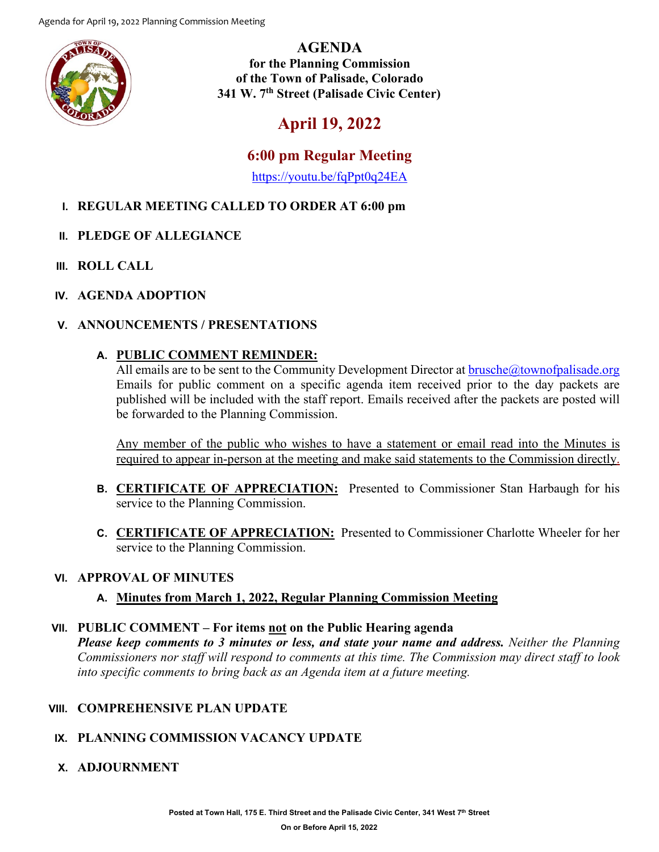

**AGENDA for the Planning Commission of the Town of Palisade, Colorado 341 W. 7th Street (Palisade Civic Center)**

# **April 19, 2022**

## **6:00 pm Regular Meeting**

<https://youtu.be/fqPpt0q24EA>

## **I. REGULAR MEETING CALLED TO ORDER AT 6:00 pm**

- **II. PLEDGE OF ALLEGIANCE**
- **III. ROLL CALL**
- **IV. AGENDA ADOPTION**

#### **V. ANNOUNCEMENTS / PRESENTATIONS**

#### **A. PUBLIC COMMENT REMINDER:**

All emails are to be sent to the Community Development Director at  $brusche@townofpalisade.org$ Emails for public comment on a specific agenda item received prior to the day packets are published will be included with the staff report. Emails received after the packets are posted will be forwarded to the Planning Commission.

Any member of the public who wishes to have a statement or email read into the Minutes is required to appear in-person at the meeting and make said statements to the Commission directly.

- **B. CERTIFICATE OF APPRECIATION:** Presented to Commissioner Stan Harbaugh for his service to the Planning Commission.
- **C. CERTIFICATE OF APPRECIATION:** Presented to Commissioner Charlotte Wheeler for her service to the Planning Commission.

#### **VI. APPROVAL OF MINUTES**

## **A. Minutes from March 1, 2022, Regular Planning Commission Meeting**

#### **VII. PUBLIC COMMENT – For items not on the Public Hearing agenda**

*Please keep comments to 3 minutes or less, and state your name and address. Neither the Planning Commissioners nor staff will respond to comments at this time. The Commission may direct staff to look into specific comments to bring back as an Agenda item at a future meeting.*

#### **VIII. COMPREHENSIVE PLAN UPDATE**

## **IX. PLANNING COMMISSION VACANCY UPDATE**

#### **X. ADJOURNMENT**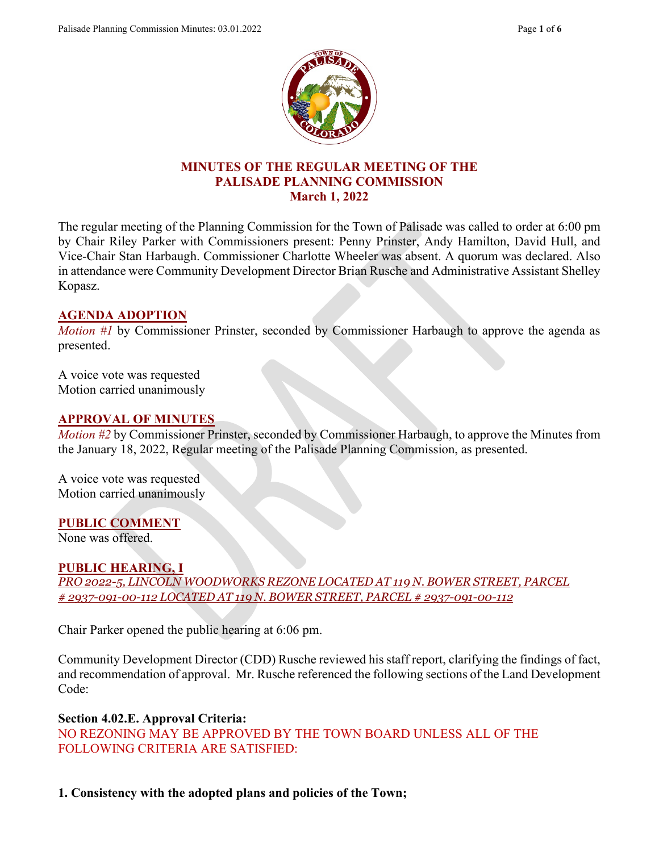

#### **MINUTES OF THE REGULAR MEETING OF THE PALISADE PLANNING COMMISSION March 1, 2022**

The regular meeting of the Planning Commission for the Town of Palisade was called to order at 6:00 pm by Chair Riley Parker with Commissioners present: Penny Prinster, Andy Hamilton, David Hull, and Vice-Chair Stan Harbaugh. Commissioner Charlotte Wheeler was absent. A quorum was declared. Also in attendance were Community Development Director Brian Rusche and Administrative Assistant Shelley Kopasz.

#### **AGENDA ADOPTION**

*Motion #1* by Commissioner Prinster, seconded by Commissioner Harbaugh to approve the agenda as presented.

A voice vote was requested Motion carried unanimously

#### **APPROVAL OF MINUTES**

*Motion #2* by Commissioner Prinster, seconded by Commissioner Harbaugh, to approve the Minutes from the January 18, 2022, Regular meeting of the Palisade Planning Commission, as presented.

A voice vote was requested Motion carried unanimously

#### **PUBLIC COMMENT**

None was offered.

#### **PUBLIC HEARING, I**

*PRO 2022-5, LINCOLN WOODWORKS REZONE LOCATED AT 119 N. BOWER STREET, PARCEL # 2937-091-00-112 LOCATED AT 119 N. BOWER STREET, PARCEL # 2937-091-00-112*

Chair Parker opened the public hearing at 6:06 pm.

Community Development Director (CDD) Rusche reviewed his staff report, clarifying the findings of fact, and recommendation of approval. Mr. Rusche referenced the following sections of the Land Development Code:

#### **Section 4.02.E. Approval Criteria:**

NO REZONING MAY BE APPROVED BY THE TOWN BOARD UNLESS ALL OF THE FOLLOWING CRITERIA ARE SATISFIED:

**1. Consistency with the adopted plans and policies of the Town;**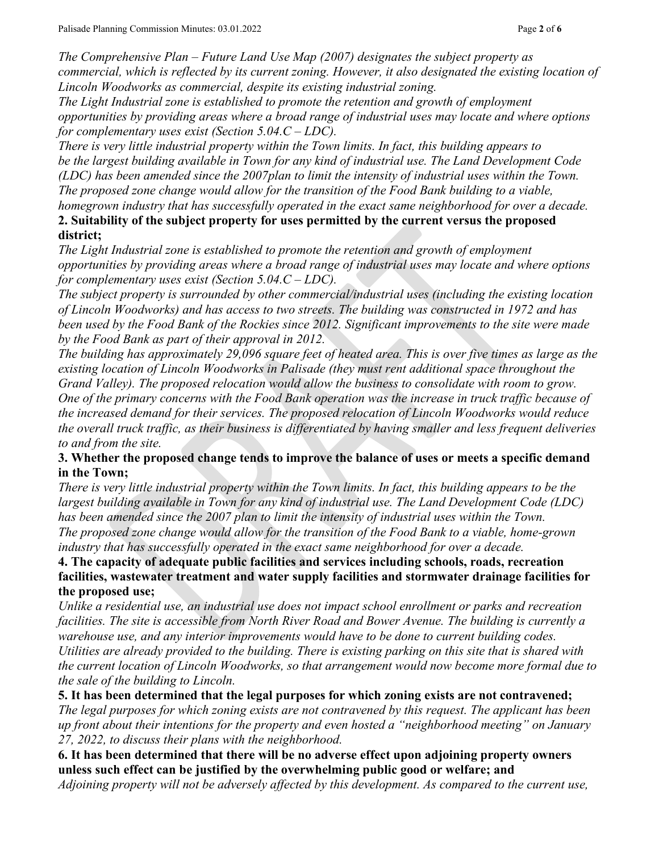*The Comprehensive Plan – Future Land Use Map (2007) designates the subject property as commercial, which is reflected by its current zoning. However, it also designated the existing location of Lincoln Woodworks as commercial, despite its existing industrial zoning.*

*The Light Industrial zone is established to promote the retention and growth of employment opportunities by providing areas where a broad range of industrial uses may locate and where options for complementary uses exist (Section 5.04.C – LDC).*

*There is very little industrial property within the Town limits. In fact, this building appears to be the largest building available in Town for any kind of industrial use. The Land Development Code (LDC) has been amended since the 2007plan to limit the intensity of industrial uses within the Town. The proposed zone change would allow for the transition of the Food Bank building to a viable, homegrown industry that has successfully operated in the exact same neighborhood for over a decade.*

#### **2. Suitability of the subject property for uses permitted by the current versus the proposed district;**

*The Light Industrial zone is established to promote the retention and growth of employment opportunities by providing areas where a broad range of industrial uses may locate and where options for complementary uses exist (Section 5.04.C – LDC).*

*The subject property is surrounded by other commercial/industrial uses (including the existing location of Lincoln Woodworks) and has access to two streets. The building was constructed in 1972 and has been used by the Food Bank of the Rockies since 2012. Significant improvements to the site were made by the Food Bank as part of their approval in 2012.* 

*The building has approximately 29,096 square feet of heated area. This is over five times as large as the existing location of Lincoln Woodworks in Palisade (they must rent additional space throughout the Grand Valley). The proposed relocation would allow the business to consolidate with room to grow. One of the primary concerns with the Food Bank operation was the increase in truck traffic because of the increased demand for their services. The proposed relocation of Lincoln Woodworks would reduce the overall truck traffic, as their business is differentiated by having smaller and less frequent deliveries to and from the site.*

#### **3. Whether the proposed change tends to improve the balance of uses or meets a specific demand in the Town;**

*There is very little industrial property within the Town limits. In fact, this building appears to be the largest building available in Town for any kind of industrial use. The Land Development Code (LDC) has been amended since the 2007 plan to limit the intensity of industrial uses within the Town. The proposed zone change would allow for the transition of the Food Bank to a viable, home-grown industry that has successfully operated in the exact same neighborhood for over a decade.*

#### **4. The capacity of adequate public facilities and services including schools, roads, recreation facilities, wastewater treatment and water supply facilities and stormwater drainage facilities for the proposed use;**

*Unlike a residential use, an industrial use does not impact school enrollment or parks and recreation facilities. The site is accessible from North River Road and Bower Avenue. The building is currently a warehouse use, and any interior improvements would have to be done to current building codes. Utilities are already provided to the building. There is existing parking on this site that is shared with the current location of Lincoln Woodworks, so that arrangement would now become more formal due to the sale of the building to Lincoln.*

**5. It has been determined that the legal purposes for which zoning exists are not contravened;** *The legal purposes for which zoning exists are not contravened by this request. The applicant has been up front about their intentions for the property and even hosted a "neighborhood meeting" on January 27, 2022, to discuss their plans with the neighborhood.*

**6. It has been determined that there will be no adverse effect upon adjoining property owners unless such effect can be justified by the overwhelming public good or welfare; and** *Adjoining property will not be adversely affected by this development. As compared to the current use,*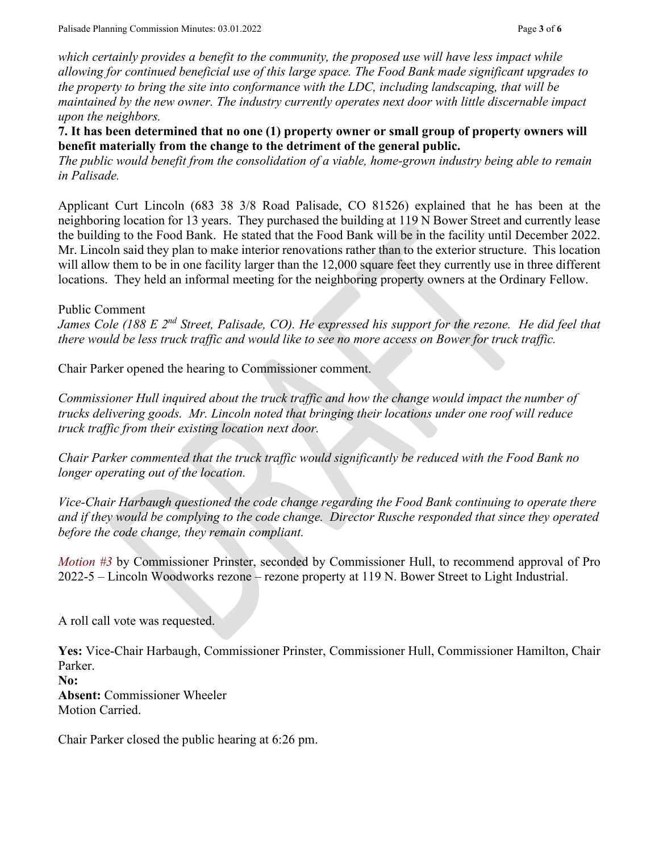*which certainly provides a benefit to the community, the proposed use will have less impact while allowing for continued beneficial use of this large space. The Food Bank made significant upgrades to the property to bring the site into conformance with the LDC, including landscaping, that will be maintained by the new owner. The industry currently operates next door with little discernable impact upon the neighbors.*

**7. It has been determined that no one (1) property owner or small group of property owners will benefit materially from the change to the detriment of the general public.**

*The public would benefit from the consolidation of a viable, home-grown industry being able to remain in Palisade.*

Applicant Curt Lincoln (683 38 3/8 Road Palisade, CO 81526) explained that he has been at the neighboring location for 13 years. They purchased the building at 119 N Bower Street and currently lease the building to the Food Bank. He stated that the Food Bank will be in the facility until December 2022. Mr. Lincoln said they plan to make interior renovations rather than to the exterior structure. This location will allow them to be in one facility larger than the 12,000 square feet they currently use in three different locations. They held an informal meeting for the neighboring property owners at the Ordinary Fellow.

#### Public Comment

*James Cole (188 E 2nd Street, Palisade, CO). He expressed his support for the rezone. He did feel that there would be less truck traffic and would like to see no more access on Bower for truck traffic.* 

Chair Parker opened the hearing to Commissioner comment.

*Commissioner Hull inquired about the truck traffic and how the change would impact the number of trucks delivering goods. Mr. Lincoln noted that bringing their locations under one roof will reduce truck traffic from their existing location next door.* 

*Chair Parker commented that the truck traffic would significantly be reduced with the Food Bank no longer operating out of the location.*

*Vice-Chair Harbaugh questioned the code change regarding the Food Bank continuing to operate there and if they would be complying to the code change. Director Rusche responded that since they operated before the code change, they remain compliant.*

*Motion #3* by Commissioner Prinster, seconded by Commissioner Hull, to recommend approval of Pro 2022-5 – Lincoln Woodworks rezone – rezone property at 119 N. Bower Street to Light Industrial.

A roll call vote was requested.

**Yes:** Vice-Chair Harbaugh, Commissioner Prinster, Commissioner Hull, Commissioner Hamilton, Chair Parker.

**No: Absent:** Commissioner Wheeler Motion Carried.

Chair Parker closed the public hearing at 6:26 pm.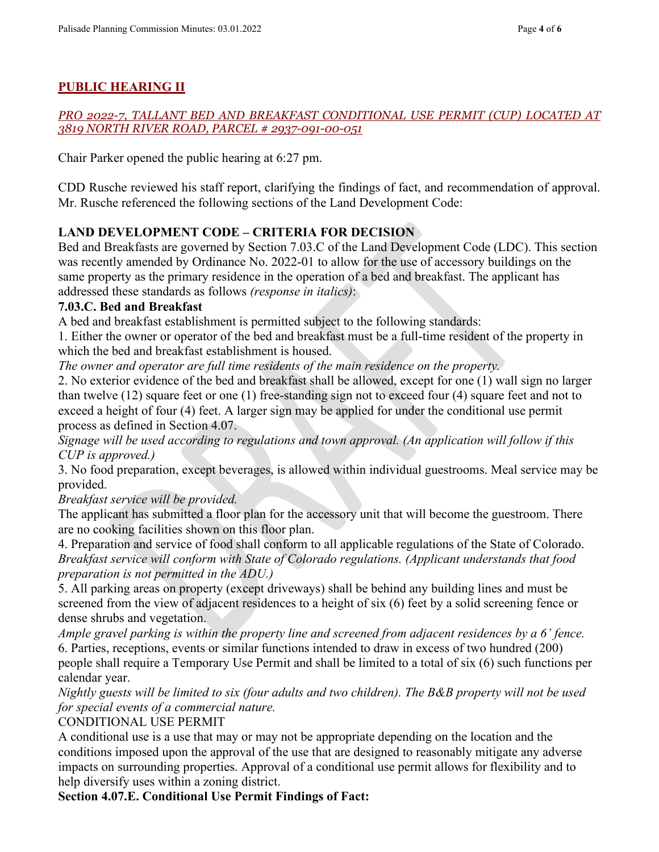## **PUBLIC HEARING II**

#### *PRO 2022-7, TALLANT BED AND BREAKFAST CONDITIONAL USE PERMIT (CUP) LOCATED AT 3819 NORTH RIVER ROAD, PARCEL # 2937-091-00-051*

Chair Parker opened the public hearing at 6:27 pm.

CDD Rusche reviewed his staff report, clarifying the findings of fact, and recommendation of approval. Mr. Rusche referenced the following sections of the Land Development Code:

#### **LAND DEVELOPMENT CODE – CRITERIA FOR DECISION**

Bed and Breakfasts are governed by Section 7.03.C of the Land Development Code (LDC). This section was recently amended by Ordinance No. 2022-01 to allow for the use of accessory buildings on the same property as the primary residence in the operation of a bed and breakfast. The applicant has addressed these standards as follows *(response in italics)*:

#### **7.03.C. Bed and Breakfast**

A bed and breakfast establishment is permitted subject to the following standards:

1. Either the owner or operator of the bed and breakfast must be a full-time resident of the property in which the bed and breakfast establishment is housed.

*The owner and operator are full time residents of the main residence on the property.* 

2. No exterior evidence of the bed and breakfast shall be allowed, except for one (1) wall sign no larger than twelve (12) square feet or one (1) free-standing sign not to exceed four (4) square feet and not to exceed a height of four (4) feet. A larger sign may be applied for under the conditional use permit process as defined in Section 4.07.

*Signage will be used according to regulations and town approval. (An application will follow if this CUP is approved.)* 

3. No food preparation, except beverages, is allowed within individual guestrooms. Meal service may be provided.

*Breakfast service will be provided.*

The applicant has submitted a floor plan for the accessory unit that will become the guestroom. There are no cooking facilities shown on this floor plan.

4. Preparation and service of food shall conform to all applicable regulations of the State of Colorado. *Breakfast service will conform with State of Colorado regulations. (Applicant understands that food preparation is not permitted in the ADU.)* 

5. All parking areas on property (except driveways) shall be behind any building lines and must be screened from the view of adjacent residences to a height of six (6) feet by a solid screening fence or dense shrubs and vegetation.

*Ample gravel parking is within the property line and screened from adjacent residences by a 6' fence.*  6. Parties, receptions, events or similar functions intended to draw in excess of two hundred (200) people shall require a Temporary Use Permit and shall be limited to a total of six (6) such functions per calendar year.

*Nightly guests will be limited to six (four adults and two children). The B&B property will not be used for special events of a commercial nature.* 

CONDITIONAL USE PERMIT

A conditional use is a use that may or may not be appropriate depending on the location and the conditions imposed upon the approval of the use that are designed to reasonably mitigate any adverse impacts on surrounding properties. Approval of a conditional use permit allows for flexibility and to help diversify uses within a zoning district.

**Section 4.07.E. Conditional Use Permit Findings of Fact:**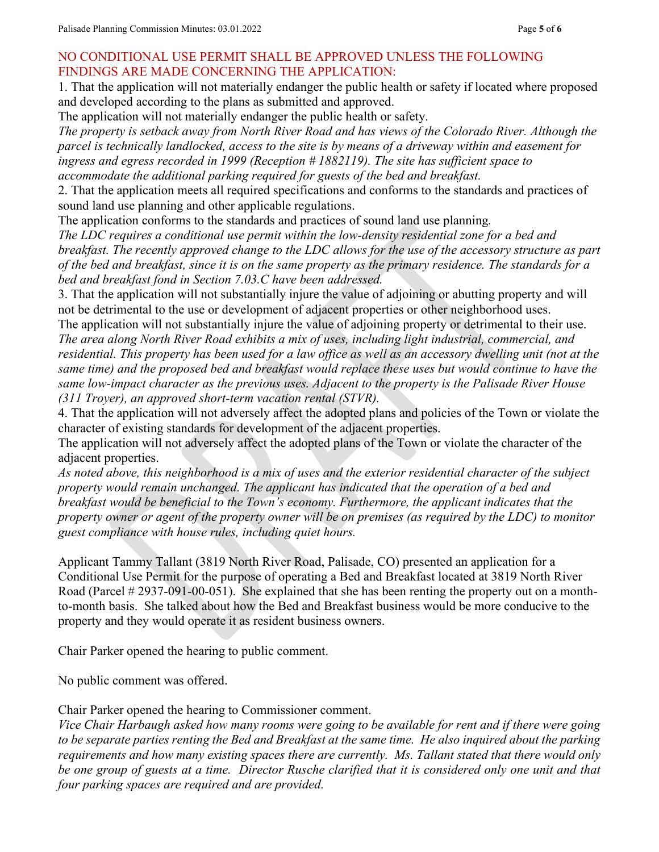#### NO CONDITIONAL USE PERMIT SHALL BE APPROVED UNLESS THE FOLLOWING FINDINGS ARE MADE CONCERNING THE APPLICATION:

1. That the application will not materially endanger the public health or safety if located where proposed and developed according to the plans as submitted and approved.

The application will not materially endanger the public health or safety.

*The property is setback away from North River Road and has views of the Colorado River. Although the parcel is technically landlocked, access to the site is by means of a driveway within and easement for ingress and egress recorded in 1999 (Reception # 1882119). The site has sufficient space to accommodate the additional parking required for guests of the bed and breakfast.*

2. That the application meets all required specifications and conforms to the standards and practices of sound land use planning and other applicable regulations.

The application conforms to the standards and practices of sound land use planning*.*

*The LDC requires a conditional use permit within the low-density residential zone for a bed and breakfast. The recently approved change to the LDC allows for the use of the accessory structure as part of the bed and breakfast, since it is on the same property as the primary residence. The standards for a bed and breakfast fond in Section 7.03.C have been addressed.*

3. That the application will not substantially injure the value of adjoining or abutting property and will not be detrimental to the use or development of adjacent properties or other neighborhood uses.

The application will not substantially injure the value of adjoining property or detrimental to their use. *The area along North River Road exhibits a mix of uses, including light industrial, commercial, and residential. This property has been used for a law office as well as an accessory dwelling unit (not at the same time) and the proposed bed and breakfast would replace these uses but would continue to have the same low-impact character as the previous uses. Adjacent to the property is the Palisade River House (311 Troyer), an approved short-term vacation rental (STVR).*

4. That the application will not adversely affect the adopted plans and policies of the Town or violate the character of existing standards for development of the adjacent properties.

The application will not adversely affect the adopted plans of the Town or violate the character of the adjacent properties.

*As noted above, this neighborhood is a mix of uses and the exterior residential character of the subject property would remain unchanged. The applicant has indicated that the operation of a bed and breakfast would be beneficial to the Town's economy. Furthermore, the applicant indicates that the property owner or agent of the property owner will be on premises (as required by the LDC) to monitor guest compliance with house rules, including quiet hours.*

Applicant Tammy Tallant (3819 North River Road, Palisade, CO) presented an application for a Conditional Use Permit for the purpose of operating a Bed and Breakfast located at 3819 North River Road (Parcel # 2937-091-00-051). She explained that she has been renting the property out on a monthto-month basis. She talked about how the Bed and Breakfast business would be more conducive to the property and they would operate it as resident business owners.

Chair Parker opened the hearing to public comment.

No public comment was offered.

Chair Parker opened the hearing to Commissioner comment.

*Vice Chair Harbaugh asked how many rooms were going to be available for rent and if there were going to be separate parties renting the Bed and Breakfast at the same time. He also inquired about the parking requirements and how many existing spaces there are currently. Ms. Tallant stated that there would only be one group of guests at a time. Director Rusche clarified that it is considered only one unit and that four parking spaces are required and are provided.*